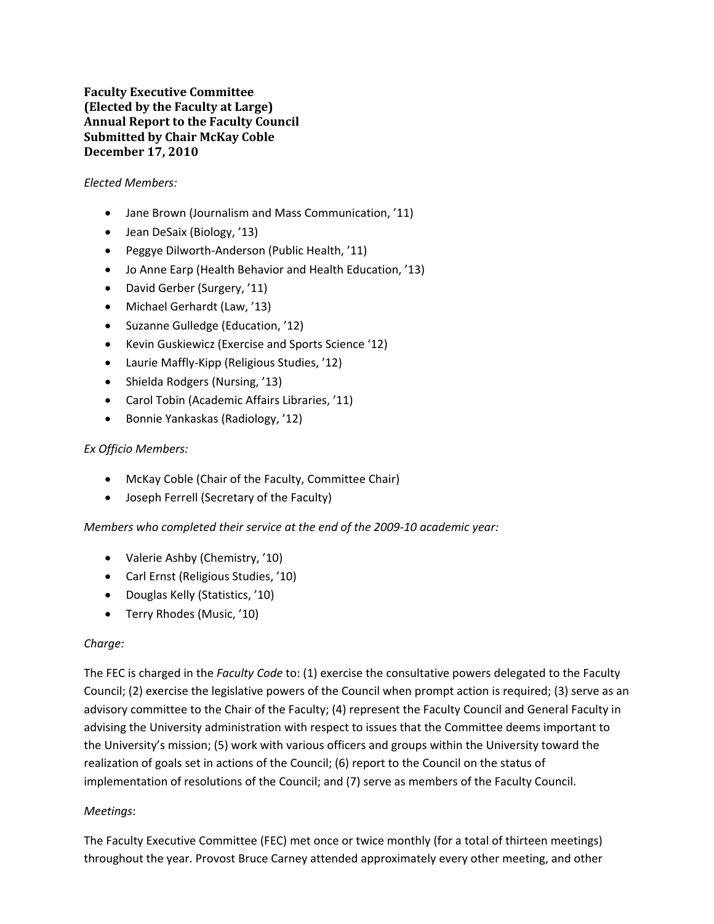**Faculty Executive Committee (Elected by the Faculty at Large) Annual Report to the Faculty Council Submitted by Chair McKay Coble December 17, 2010**

## *Elected Members:*

- Jane Brown (Journalism and Mass Communication, '11)
- Jean DeSaix (Biology, '13)
- Peggye Dilworth-Anderson (Public Health, '11)
- Jo Anne Earp (Health Behavior and Health Education, '13)
- David Gerber (Surgery, '11)
- Michael Gerhardt (Law, '13)
- Suzanne Gulledge (Education, '12)
- Kevin Guskiewicz (Exercise and Sports Science '12)
- Laurie Maffly‐Kipp (Religious Studies, '12)
- Shielda Rodgers (Nursing, '13)
- Carol Tobin (Academic Affairs Libraries, '11)
- Bonnie Yankaskas (Radiology, '12)

# *Ex Officio Members:*

- McKay Coble (Chair of the Faculty, Committee Chair)
- Joseph Ferrell (Secretary of the Faculty)

*Members who completed their service at the end of the 2009‐10 academic year:*

- Valerie Ashby (Chemistry, '10)
- Carl Ernst (Religious Studies, '10)
- Douglas Kelly (Statistics, '10)
- Terry Rhodes (Music, '10)

### *Charge:*

The FEC is charged in the *Faculty Code* to: (1) exercise the consultative powers delegated to the Faculty Council; (2) exercise the legislative powers of the Council when prompt action is required; (3) serve as an advisory committee to the Chair of the Faculty; (4) represent the Faculty Council and General Faculty in advising the University administration with respect to issues that the Committee deems important to the University's mission; (5) work with various officers and groups within the University toward the realization of goals set in actions of the Council; (6) report to the Council on the status of implementation of resolutions of the Council; and (7) serve as members of the Faculty Council.

# *Meetings*:

The Faculty Executive Committee (FEC) met once or twice monthly (for a total of thirteen meetings) throughout the year. Provost Bruce Carney attended approximately every other meeting, and other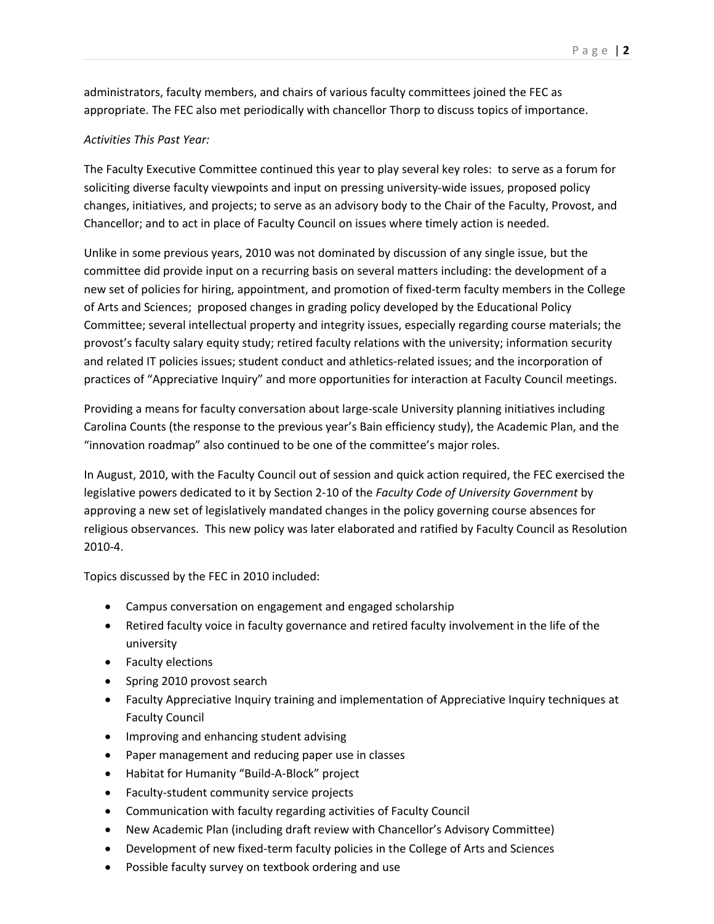administrators, faculty members, and chairs of various faculty committees joined the FEC as appropriate. The FEC also met periodically with chancellor Thorp to discuss topics of importance.

# *Activities This Past Year:*

The Faculty Executive Committee continued this year to play several key roles: to serve as a forum for soliciting diverse faculty viewpoints and input on pressing university-wide issues, proposed policy changes, initiatives, and projects; to serve as an advisory body to the Chair of the Faculty, Provost, and Chancellor; and to act in place of Faculty Council on issues where timely action is needed.

Unlike in some previous years, 2010 was not dominated by discussion of any single issue, but the committee did provide input on a recurring basis on several matters including: the development of a new set of policies for hiring, appointment, and promotion of fixed-term faculty members in the College of Arts and Sciences; proposed changes in grading policy developed by the Educational Policy Committee; several intellectual property and integrity issues, especially regarding course materials; the provost's faculty salary equity study; retired faculty relations with the university; information security and related IT policies issues; student conduct and athletics-related issues; and the incorporation of practices of "Appreciative Inquiry" and more opportunities for interaction at Faculty Council meetings.

Providing a means for faculty conversation about large‐scale University planning initiatives including Carolina Counts (the response to the previous year's Bain efficiency study), the Academic Plan, and the "innovation roadmap" also continued to be one of the committee's major roles.

In August, 2010, with the Faculty Council out of session and quick action required, the FEC exercised the legislative powers dedicated to it by Section 2‐10 of the *Faculty Code of University Government* by approving a new set of legislatively mandated changes in the policy governing course absences for religious observances. This new policy was later elaborated and ratified by Faculty Council as Resolution 2010‐4.

Topics discussed by the FEC in 2010 included:

- Campus conversation on engagement and engaged scholarship
- Retired faculty voice in faculty governance and retired faculty involvement in the life of the university
- Faculty elections
- Spring 2010 provost search
- Faculty Appreciative Inquiry training and implementation of Appreciative Inquiry techniques at Faculty Council
- Improving and enhancing student advising
- Paper management and reducing paper use in classes
- Habitat for Humanity "Build-A-Block" project
- Faculty‐student community service projects
- Communication with faculty regarding activities of Faculty Council
- New Academic Plan (including draft review with Chancellor's Advisory Committee)
- Development of new fixed-term faculty policies in the College of Arts and Sciences
- Possible faculty survey on textbook ordering and use